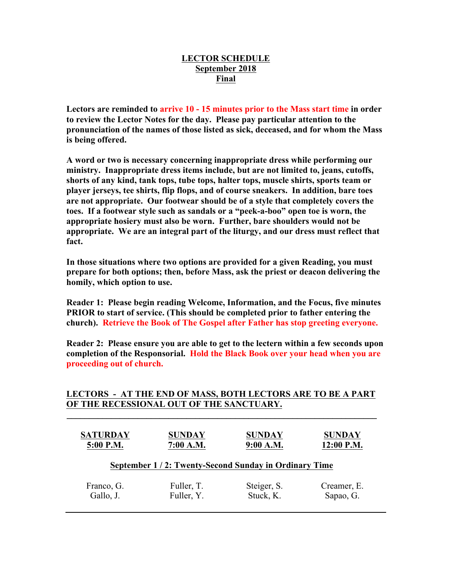## **LECTOR SCHEDULE September 2018 Final**

**Lectors are reminded to arrive 10 - 15 minutes prior to the Mass start time in order to review the Lector Notes for the day. Please pay particular attention to the pronunciation of the names of those listed as sick, deceased, and for whom the Mass is being offered.**

**A word or two is necessary concerning inappropriate dress while performing our ministry. Inappropriate dress items include, but are not limited to, jeans, cutoffs, shorts of any kind, tank tops, tube tops, halter tops, muscle shirts, sports team or player jerseys, tee shirts, flip flops, and of course sneakers. In addition, bare toes are not appropriate. Our footwear should be of a style that completely covers the toes. If a footwear style such as sandals or a "peek-a-boo" open toe is worn, the appropriate hosiery must also be worn. Further, bare shoulders would not be appropriate. We are an integral part of the liturgy, and our dress must reflect that fact.**

**In those situations where two options are provided for a given Reading, you must prepare for both options; then, before Mass, ask the priest or deacon delivering the homily, which option to use.**

**Reader 1: Please begin reading Welcome, Information, and the Focus, five minutes PRIOR to start of service. (This should be completed prior to father entering the church). Retrieve the Book of The Gospel after Father has stop greeting everyone.**

**Reader 2: Please ensure you are able to get to the lectern within a few seconds upon completion of the Responsorial. Hold the Black Book over your head when you are proceeding out of church.** 

## **LECTORS - AT THE END OF MASS, BOTH LECTORS ARE TO BE A PART OF THE RECESSIONAL OUT OF THE SANCTUARY.**

**\_\_\_\_\_\_\_\_\_\_\_\_\_\_\_\_\_\_\_\_\_\_\_\_\_\_\_\_\_\_\_\_\_\_\_\_\_\_\_\_\_\_\_\_\_\_\_\_\_\_\_\_\_\_\_\_\_\_\_\_\_\_\_\_\_\_\_\_\_\_**

| <b>SATURDAY</b>                                      | <b>SUNDAY</b> | <b>SUNDAY</b> | <b>SUNDAY</b> |
|------------------------------------------------------|---------------|---------------|---------------|
| 5:00 P.M.                                            | 7:00 A.M.     | 9:00 A.M.     | 12:00 P.M.    |
| September 1/2: Twenty-Second Sunday in Ordinary Time |               |               |               |
| Franco, G.                                           | Fuller, T.    | Steiger, S.   | Creamer, E.   |
| Gallo, J.                                            | Fuller, Y.    | Stuck, K.     | Sapao, G.     |